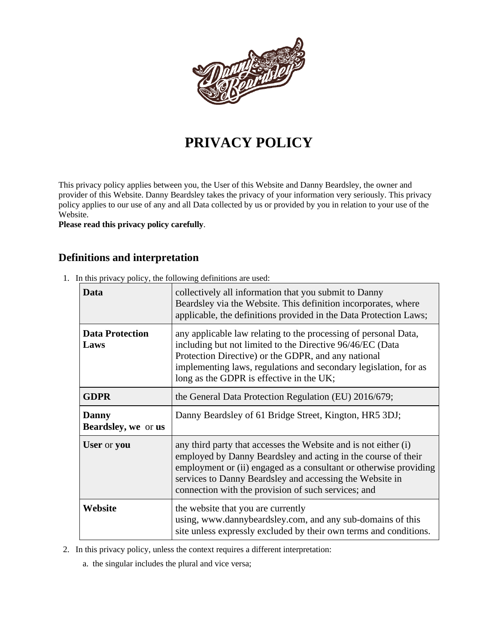

# **PRIVACY POLICY**

This privacy policy applies between you, the User of this Website and Danny Beardsley, the owner and provider of this Website. Danny Beardsley takes the privacy of your information very seriously. This privacy policy applies to our use of any and all Data collected by us or provided by you in relation to your use of the Website.

**Please read this privacy policy carefully**.

## **Definitions and interpretation**

1. In this privacy policy, the following definitions are used:

| Data                                | collectively all information that you submit to Danny<br>Beardsley via the Website. This definition incorporates, where<br>applicable, the definitions provided in the Data Protection Laws;                                                                                                                             |
|-------------------------------------|--------------------------------------------------------------------------------------------------------------------------------------------------------------------------------------------------------------------------------------------------------------------------------------------------------------------------|
| <b>Data Protection</b><br>Laws      | any applicable law relating to the processing of personal Data,<br>including but not limited to the Directive 96/46/EC (Data<br>Protection Directive) or the GDPR, and any national<br>implementing laws, regulations and secondary legislation, for as<br>long as the GDPR is effective in the UK;                      |
| <b>GDPR</b>                         | the General Data Protection Regulation (EU) 2016/679;                                                                                                                                                                                                                                                                    |
| <b>Danny</b><br>Beardsley, we or us | Danny Beardsley of 61 Bridge Street, Kington, HR5 3DJ;                                                                                                                                                                                                                                                                   |
| User or you                         | any third party that accesses the Website and is not either (i)<br>employed by Danny Beardsley and acting in the course of their<br>employment or (ii) engaged as a consultant or otherwise providing<br>services to Danny Beardsley and accessing the Website in<br>connection with the provision of such services; and |
| Website                             | the website that you are currently<br>using, www.dannybeardsley.com, and any sub-domains of this<br>site unless expressly excluded by their own terms and conditions.                                                                                                                                                    |

- 2. In this privacy policy, unless the context requires a different interpretation:
	- a. the singular includes the plural and vice versa;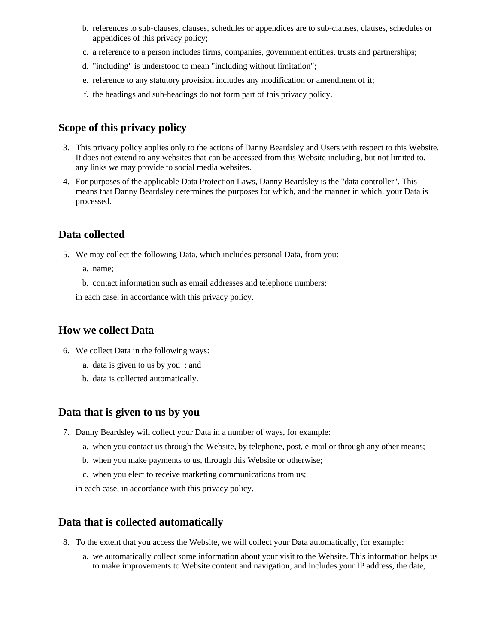- b. references to sub-clauses, clauses, schedules or appendices are to sub-clauses, clauses, schedules or appendices of this privacy policy;
- c. a reference to a person includes firms, companies, government entities, trusts and partnerships;
- d. "including" is understood to mean "including without limitation";
- e. reference to any statutory provision includes any modification or amendment of it;
- f. the headings and sub-headings do not form part of this privacy policy.

## **Scope of this privacy policy**

- 3. This privacy policy applies only to the actions of Danny Beardsley and Users with respect to this Website. It does not extend to any websites that can be accessed from this Website including, but not limited to, any links we may provide to social media websites.
- 4. For purposes of the applicable Data Protection Laws, Danny Beardsley is the "data controller". This means that Danny Beardsley determines the purposes for which, and the manner in which, your Data is processed.

#### **Data collected**

- 5. We may collect the following Data, which includes personal Data, from you:
	- a. name;
	- b. contact information such as email addresses and telephone numbers;

in each case, in accordance with this privacy policy.

#### **How we collect Data**

- 6. We collect Data in the following ways:
	- a. data is given to us by you ; and
	- b. data is collected automatically.

#### **Data that is given to us by you**

- 7. Danny Beardsley will collect your Data in a number of ways, for example:
	- a. when you contact us through the Website, by telephone, post, e-mail or through any other means;
	- b. when you make payments to us, through this Website or otherwise;
	- c. when you elect to receive marketing communications from us;
	- in each case, in accordance with this privacy policy.

# **Data that is collected automatically**

- 8. To the extent that you access the Website, we will collect your Data automatically, for example:
	- a. we automatically collect some information about your visit to the Website. This information helps us to make improvements to Website content and navigation, and includes your IP address, the date,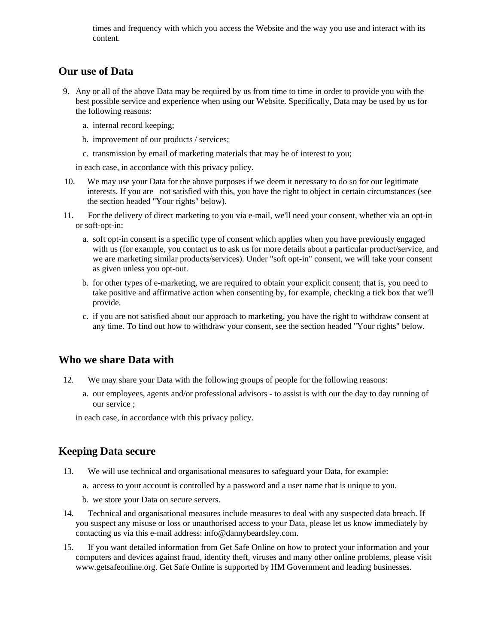times and frequency with which you access the Website and the way you use and interact with its content.

## **Our use of Data**

- 9. Any or all of the above Data may be required by us from time to time in order to provide you with the best possible service and experience when using our Website. Specifically, Data may be used by us for the following reasons:
	- a. internal record keeping;
	- b. improvement of our products / services;
	- c. transmission by email of marketing materials that may be of interest to you;

in each case, in accordance with this privacy policy.

- 10. We may use your Data for the above purposes if we deem it necessary to do so for our legitimate interests. If you are not satisfied with this, you have the right to object in certain circumstances (see the section headed "Your rights" below).
- 11. For the delivery of direct marketing to you via e-mail, we'll need your consent, whether via an opt-in or soft-opt-in:
	- a. soft opt-in consent is a specific type of consent which applies when you have previously engaged with us (for example, you contact us to ask us for more details about a particular product/service, and we are marketing similar products/services). Under "soft opt-in" consent, we will take your consent as given unless you opt-out.
	- b. for other types of e-marketing, we are required to obtain your explicit consent; that is, you need to take positive and affirmative action when consenting by, for example, checking a tick box that we'll provide.
	- c. if you are not satisfied about our approach to marketing, you have the right to withdraw consent at any time. To find out how to withdraw your consent, see the section headed "Your rights" below.

## **Who we share Data with**

- 12. We may share your Data with the following groups of people for the following reasons:
	- a. our employees, agents and/or professional advisors to assist is with our the day to day running of our service ;

in each case, in accordance with this privacy policy.

## **Keeping Data secure**

- 13. We will use technical and organisational measures to safeguard your Data, for example:
	- a. access to your account is controlled by a password and a user name that is unique to you.
	- b. we store your Data on secure servers.
- 14. Technical and organisational measures include measures to deal with any suspected data breach. If you suspect any misuse or loss or unauthorised access to your Data, please let us know immediately by contacting us via this e-mail address: info@dannybeardsley.com.
- 15. If you want detailed information from Get Safe Online on how to protect your information and your computers and devices against fraud, identity theft, viruses and many other online problems, please visit www.getsafeonline.org. Get Safe Online is supported by HM Government and leading businesses.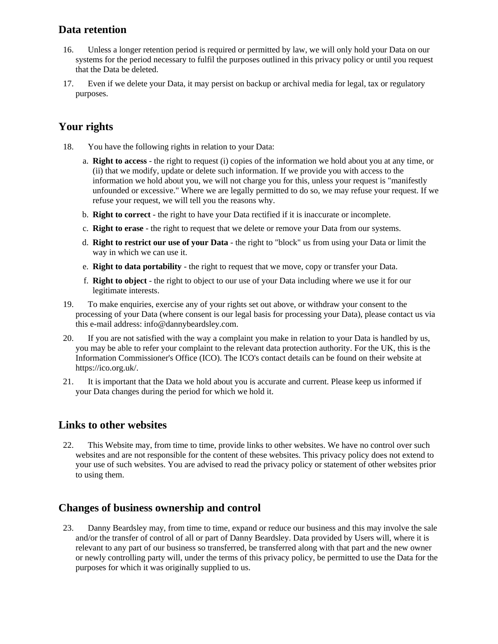## **Data retention**

- 16. Unless a longer retention period is required or permitted by law, we will only hold your Data on our systems for the period necessary to fulfil the purposes outlined in this privacy policy or until you request that the Data be deleted.
- 17. Even if we delete your Data, it may persist on backup or archival media for legal, tax or regulatory purposes.

# **Your rights**

- 18. You have the following rights in relation to your Data:
	- a. **Right to access** the right to request (i) copies of the information we hold about you at any time, or (ii) that we modify, update or delete such information. If we provide you with access to the information we hold about you, we will not charge you for this, unless your request is "manifestly unfounded or excessive." Where we are legally permitted to do so, we may refuse your request. If we refuse your request, we will tell you the reasons why.
	- b. **Right to correct** the right to have your Data rectified if it is inaccurate or incomplete.
	- c. **Right to erase** the right to request that we delete or remove your Data from our systems.
	- d. **Right to restrict our use of your Data** the right to "block" us from using your Data or limit the way in which we can use it.
	- e. **Right to data portability** the right to request that we move, copy or transfer your Data.
	- f. **Right to object** the right to object to our use of your Data including where we use it for our legitimate interests.
- 19. To make enquiries, exercise any of your rights set out above, or withdraw your consent to the processing of your Data (where consent is our legal basis for processing your Data), please contact us via this e-mail address: info@dannybeardsley.com.
- 20. If you are not satisfied with the way a complaint you make in relation to your Data is handled by us, you may be able to refer your complaint to the relevant data protection authority. For the UK, this is the Information Commissioner's Office (ICO). The ICO's contact details can be found on their website at https://ico.org.uk/.
- 21. It is important that the Data we hold about you is accurate and current. Please keep us informed if your Data changes during the period for which we hold it.

## **Links to other websites**

22. This Website may, from time to time, provide links to other websites. We have no control over such websites and are not responsible for the content of these websites. This privacy policy does not extend to your use of such websites. You are advised to read the privacy policy or statement of other websites prior to using them.

## **Changes of business ownership and control**

23. Danny Beardsley may, from time to time, expand or reduce our business and this may involve the sale and/or the transfer of control of all or part of Danny Beardsley. Data provided by Users will, where it is relevant to any part of our business so transferred, be transferred along with that part and the new owner or newly controlling party will, under the terms of this privacy policy, be permitted to use the Data for the purposes for which it was originally supplied to us.